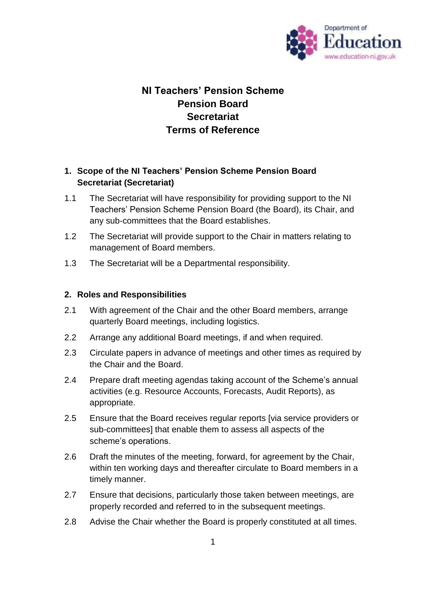

## **NI Teachers' Pension Scheme Pension Board Secretariat Terms of Reference**

## **1. Scope of the NI Teachers' Pension Scheme Pension Board Secretariat (Secretariat)**

- 1.1 The Secretariat will have responsibility for providing support to the NI Teachers' Pension Scheme Pension Board (the Board), its Chair, and any sub-committees that the Board establishes.
- 1.2 The Secretariat will provide support to the Chair in matters relating to management of Board members.
- 1.3 The Secretariat will be a Departmental responsibility.

## **2. Roles and Responsibilities**

- 2.1 With agreement of the Chair and the other Board members, arrange quarterly Board meetings, including logistics.
- 2.2 Arrange any additional Board meetings, if and when required.
- 2.3 Circulate papers in advance of meetings and other times as required by the Chair and the Board.
- 2.4 Prepare draft meeting agendas taking account of the Scheme's annual activities (e.g. Resource Accounts, Forecasts, Audit Reports), as appropriate.
- 2.5 Ensure that the Board receives regular reports [via service providers or sub-committees] that enable them to assess all aspects of the scheme's operations.
- 2.6 Draft the minutes of the meeting, forward, for agreement by the Chair, within ten working days and thereafter circulate to Board members in a timely manner.
- 2.7 Ensure that decisions, particularly those taken between meetings, are properly recorded and referred to in the subsequent meetings.
- 2.8 Advise the Chair whether the Board is properly constituted at all times.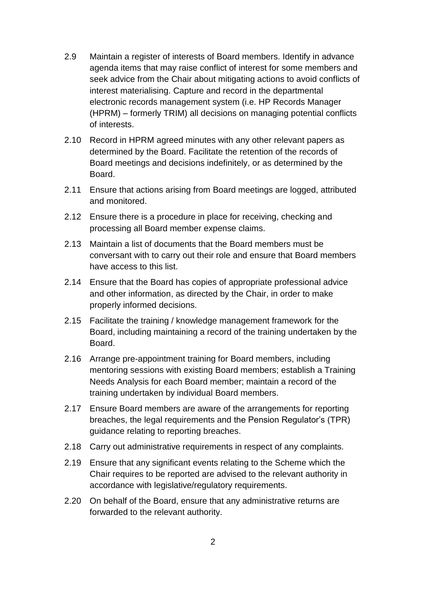- 2.9 Maintain a register of interests of Board members. Identify in advance agenda items that may raise conflict of interest for some members and seek advice from the Chair about mitigating actions to avoid conflicts of interest materialising. Capture and record in the departmental electronic records management system (i.e. HP Records Manager (HPRM) – formerly TRIM) all decisions on managing potential conflicts of interests.
- 2.10 Record in HPRM agreed minutes with any other relevant papers as determined by the Board. Facilitate the retention of the records of Board meetings and decisions indefinitely, or as determined by the Board.
- 2.11 Ensure that actions arising from Board meetings are logged, attributed and monitored.
- 2.12 Ensure there is a procedure in place for receiving, checking and processing all Board member expense claims.
- 2.13 Maintain a list of documents that the Board members must be conversant with to carry out their role and ensure that Board members have access to this list.
- 2.14 Ensure that the Board has copies of appropriate professional advice and other information, as directed by the Chair, in order to make properly informed decisions.
- 2.15 Facilitate the training / knowledge management framework for the Board, including maintaining a record of the training undertaken by the Board.
- 2.16 Arrange pre-appointment training for Board members, including mentoring sessions with existing Board members; establish a Training Needs Analysis for each Board member; maintain a record of the training undertaken by individual Board members.
- 2.17 Ensure Board members are aware of the arrangements for reporting breaches, the legal requirements and the Pension Regulator's (TPR) guidance relating to reporting breaches.
- 2.18 Carry out administrative requirements in respect of any complaints.
- 2.19 Ensure that any significant events relating to the Scheme which the Chair requires to be reported are advised to the relevant authority in accordance with legislative/regulatory requirements.
- 2.20 On behalf of the Board, ensure that any administrative returns are forwarded to the relevant authority.